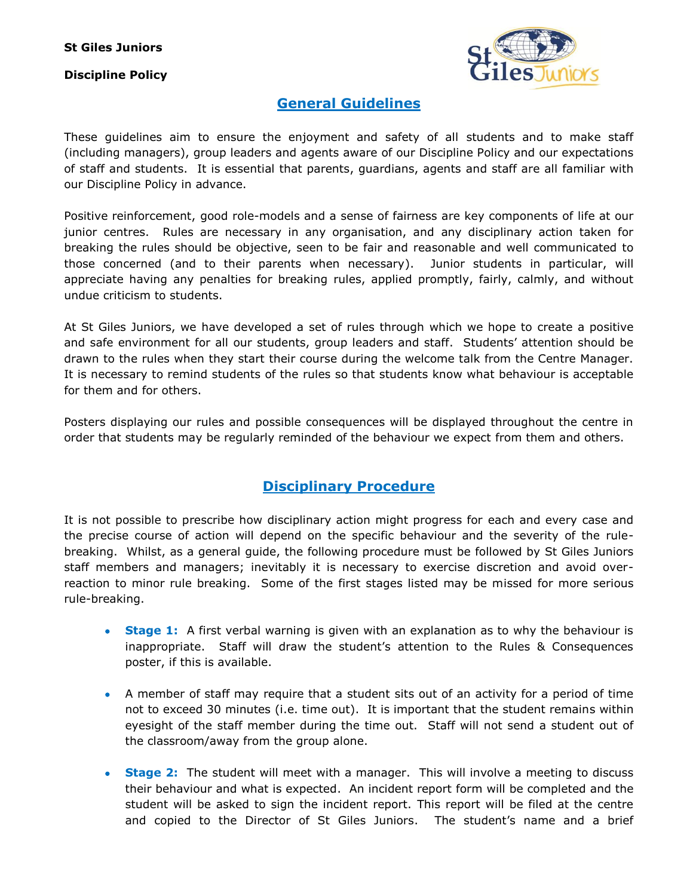## **Discipline Policy**



## **General Guidelines**

These guidelines aim to ensure the enjoyment and safety of all students and to make staff (including managers), group leaders and agents aware of our Discipline Policy and our expectations of staff and students. It is essential that parents, guardians, agents and staff are all familiar with our Discipline Policy in advance.

Positive reinforcement, good role-models and a sense of fairness are key components of life at our junior centres. Rules are necessary in any organisation, and any disciplinary action taken for breaking the rules should be objective, seen to be fair and reasonable and well communicated to those concerned (and to their parents when necessary). Junior students in particular, will appreciate having any penalties for breaking rules, applied promptly, fairly, calmly, and without undue criticism to students.

At St Giles Juniors, we have developed a set of rules through which we hope to create a positive and safe environment for all our students, group leaders and staff. Students' attention should be drawn to the rules when they start their course during the welcome talk from the Centre Manager. It is necessary to remind students of the rules so that students know what behaviour is acceptable for them and for others.

Posters displaying our rules and possible consequences will be displayed throughout the centre in order that students may be regularly reminded of the behaviour we expect from them and others.

## **Disciplinary Procedure**

It is not possible to prescribe how disciplinary action might progress for each and every case and the precise course of action will depend on the specific behaviour and the severity of the rulebreaking. Whilst, as a general guide, the following procedure must be followed by St Giles Juniors staff members and managers; inevitably it is necessary to exercise discretion and avoid overreaction to minor rule breaking. Some of the first stages listed may be missed for more serious rule-breaking.

- **Stage 1:** A first verbal warning is given with an explanation as to why the behaviour is inappropriate. Staff will draw the student's attention to the Rules & Consequences poster, if this is available.
- A member of staff may require that a student sits out of an activity for a period of time not to exceed 30 minutes (i.e. time out). It is important that the student remains within eyesight of the staff member during the time out. Staff will not send a student out of the classroom/away from the group alone.
- **Stage 2:** The student will meet with a manager. This will involve a meeting to discuss their behaviour and what is expected. An incident report form will be completed and the student will be asked to sign the incident report. This report will be filed at the centre and copied to the Director of St Giles Juniors. The student's name and a brief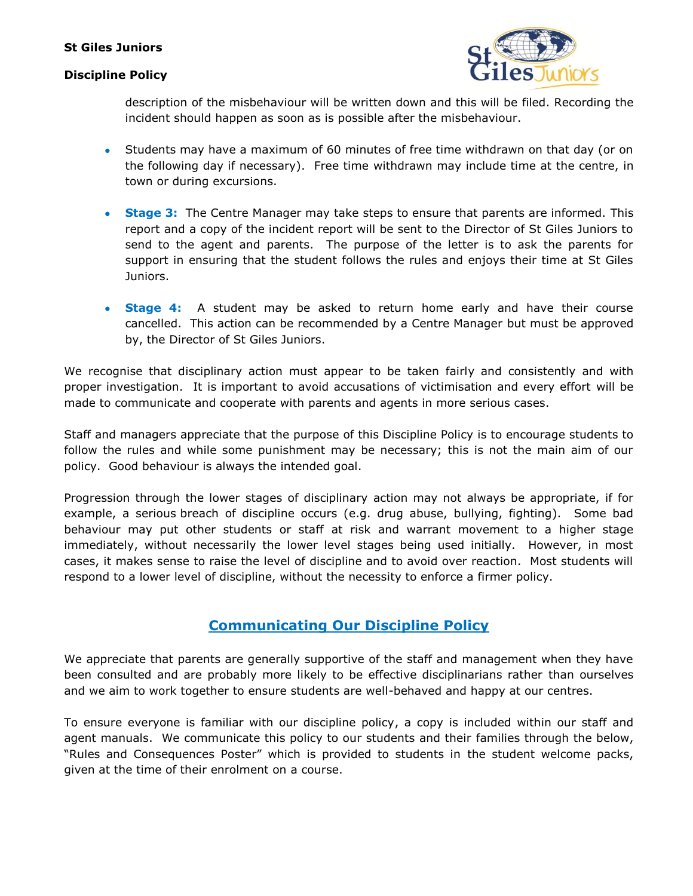### **St Giles Juniors**

#### **Discipline Policy**



description of the misbehaviour will be written down and this will be filed. Recording the incident should happen as soon as is possible after the misbehaviour.

- Students may have a maximum of 60 minutes of free time withdrawn on that day (or on the following day if necessary). Free time withdrawn may include time at the centre, in town or during excursions.
- **Stage 3:** The Centre Manager may take steps to ensure that parents are informed. This report and a copy of the incident report will be sent to the Director of St Giles Juniors to send to the agent and parents. The purpose of the letter is to ask the parents for support in ensuring that the student follows the rules and enjoys their time at St Giles Juniors.
- **Stage 4:** A student may be asked to return home early and have their course cancelled. This action can be recommended by a Centre Manager but must be approved by, the Director of St Giles Juniors.

We recognise that disciplinary action must appear to be taken fairly and consistently and with proper investigation. It is important to avoid accusations of victimisation and every effort will be made to communicate and cooperate with parents and agents in more serious cases.

Staff and managers appreciate that the purpose of this Discipline Policy is to encourage students to follow the rules and while some punishment may be necessary; this is not the main aim of our policy. Good behaviour is always the intended goal.

Progression through the lower stages of disciplinary action may not always be appropriate, if for example, a serious breach of discipline occurs (e.g. drug abuse, bullying, fighting). Some bad behaviour may put other students or staff at risk and warrant movement to a higher stage immediately, without necessarily the lower level stages being used initially. However, in most cases, it makes sense to raise the level of discipline and to avoid over reaction. Most students will respond to a lower level of discipline, without the necessity to enforce a firmer policy.

### **Communicating Our Discipline Policy**

We appreciate that parents are generally supportive of the staff and management when they have been consulted and are probably more likely to be effective disciplinarians rather than ourselves and we aim to work together to ensure students are well-behaved and happy at our centres.

To ensure everyone is familiar with our discipline policy, a copy is included within our staff and agent manuals. We communicate this policy to our students and their families through the below, "Rules and Consequences Poster" which is provided to students in the student welcome packs, given at the time of their enrolment on a course.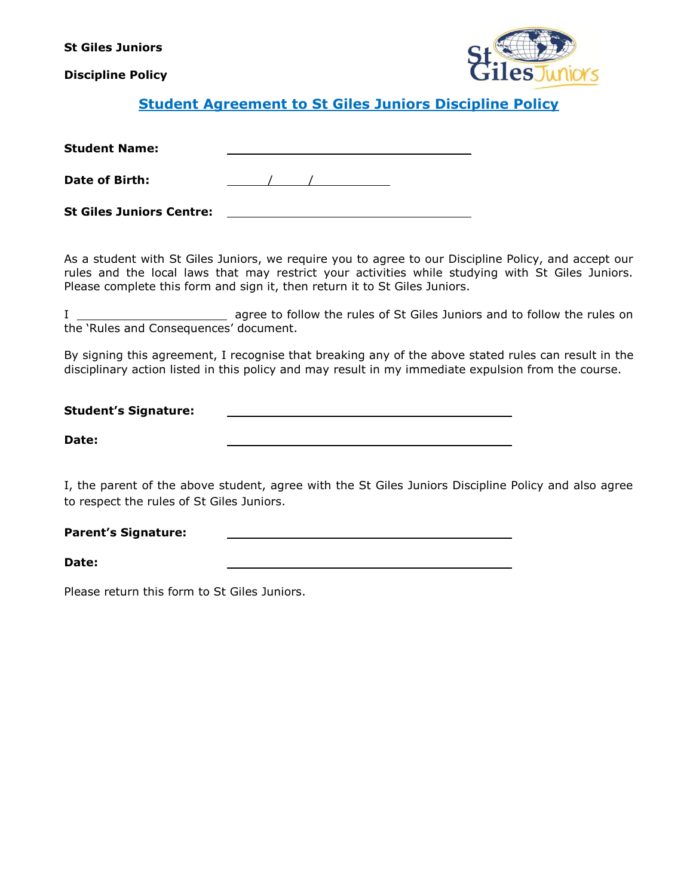**St Giles Juniors**

**Discipline Policy**



## **Student Agreement to St Giles Juniors Discipline Policy**

| <b>Student Name:</b> |  |
|----------------------|--|
|                      |  |

**Date of Birth:** / /

**St Giles Juniors Centre:**

As a student with St Giles Juniors, we require you to agree to our Discipline Policy, and accept our rules and the local laws that may restrict your activities while studying with St Giles Juniors. Please complete this form and sign it, then return it to St Giles Juniors.

I agree to follow the rules of St Giles Juniors and to follow the rules on the 'Rules and Consequences' document.

By signing this agreement, I recognise that breaking any of the above stated rules can result in the disciplinary action listed in this policy and may result in my immediate expulsion from the course.

| <b>Student's Signature:</b> |  |  |
|-----------------------------|--|--|
|                             |  |  |
| Date:                       |  |  |

I, the parent of the above student, agree with the St Giles Juniors Discipline Policy and also agree to respect the rules of St Giles Juniors.

#### **Parent's Signature:**

**Date:**

Please return this form to St Giles Juniors.